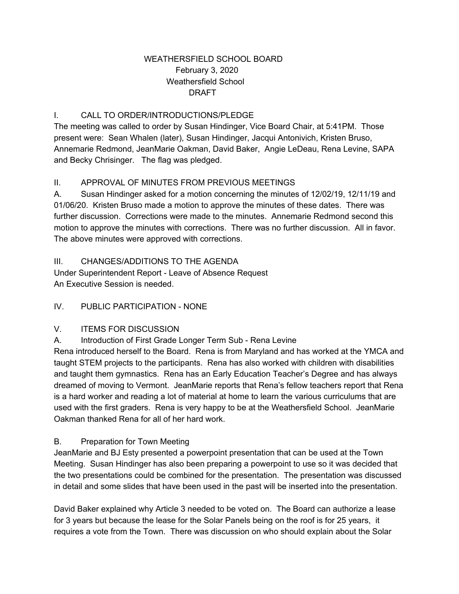### WEATHERSFIELD SCHOOL BOARD February 3, 2020 Weathersfield School DRAFT

### I. CALL TO ORDER/INTRODUCTIONS/PLEDGE

The meeting was called to order by Susan Hindinger, Vice Board Chair, at 5:41PM. Those present were: Sean Whalen (later), Susan Hindinger, Jacqui Antonivich, Kristen Bruso, Annemarie Redmond, JeanMarie Oakman, David Baker, Angie LeDeau, Rena Levine, SAPA and Becky Chrisinger. The flag was pledged.

### II. APPROVAL OF MINUTES FROM PREVIOUS MEETINGS

A. Susan Hindinger asked for a motion concerning the minutes of 12/02/19, 12/11/19 and 01/06/20. Kristen Bruso made a motion to approve the minutes of these dates. There was further discussion. Corrections were made to the minutes. Annemarie Redmond second this motion to approve the minutes with corrections. There was no further discussion. All in favor. The above minutes were approved with corrections.

III. CHANGES/ADDITIONS TO THE AGENDA

Under Superintendent Report - Leave of Absence Request An Executive Session is needed.

IV. PUBLIC PARTICIPATION - NONE

#### V. ITEMS FOR DISCUSSION

A. Introduction of First Grade Longer Term Sub - Rena Levine

Rena introduced herself to the Board. Rena is from Maryland and has worked at the YMCA and taught STEM projects to the participants. Rena has also worked with children with disabilities and taught them gymnastics. Rena has an Early Education Teacher's Degree and has always dreamed of moving to Vermont. JeanMarie reports that Rena's fellow teachers report that Rena is a hard worker and reading a lot of material at home to learn the various curriculums that are used with the first graders. Rena is very happy to be at the Weathersfield School. JeanMarie Oakman thanked Rena for all of her hard work.

#### B. Preparation for Town Meeting

JeanMarie and BJ Esty presented a powerpoint presentation that can be used at the Town Meeting. Susan Hindinger has also been preparing a powerpoint to use so it was decided that the two presentations could be combined for the presentation. The presentation was discussed in detail and some slides that have been used in the past will be inserted into the presentation.

David Baker explained why Article 3 needed to be voted on. The Board can authorize a lease for 3 years but because the lease for the Solar Panels being on the roof is for 25 years, it requires a vote from the Town. There was discussion on who should explain about the Solar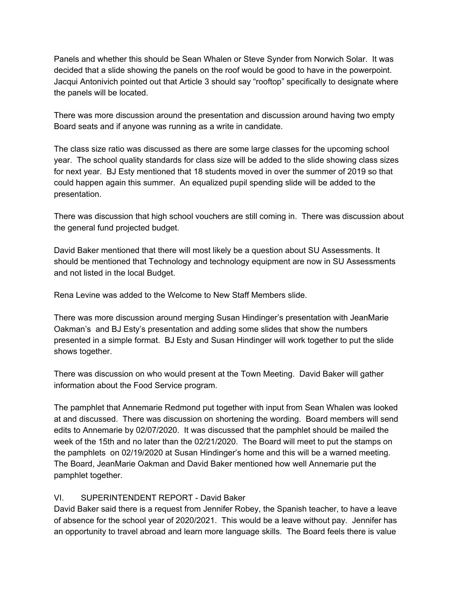Panels and whether this should be Sean Whalen or Steve Synder from Norwich Solar. It was decided that a slide showing the panels on the roof would be good to have in the powerpoint. Jacqui Antonivich pointed out that Article 3 should say "rooftop" specifically to designate where the panels will be located.

There was more discussion around the presentation and discussion around having two empty Board seats and if anyone was running as a write in candidate.

The class size ratio was discussed as there are some large classes for the upcoming school year. The school quality standards for class size will be added to the slide showing class sizes for next year. BJ Esty mentioned that 18 students moved in over the summer of 2019 so that could happen again this summer. An equalized pupil spending slide will be added to the presentation.

There was discussion that high school vouchers are still coming in. There was discussion about the general fund projected budget.

David Baker mentioned that there will most likely be a question about SU Assessments. It should be mentioned that Technology and technology equipment are now in SU Assessments and not listed in the local Budget.

Rena Levine was added to the Welcome to New Staff Members slide.

There was more discussion around merging Susan Hindinger's presentation with JeanMarie Oakman's and BJ Esty's presentation and adding some slides that show the numbers presented in a simple format. BJ Esty and Susan Hindinger will work together to put the slide shows together.

There was discussion on who would present at the Town Meeting. David Baker will gather information about the Food Service program.

The pamphlet that Annemarie Redmond put together with input from Sean Whalen was looked at and discussed. There was discussion on shortening the wording. Board members will send edits to Annemarie by 02/07/2020. It was discussed that the pamphlet should be mailed the week of the 15th and no later than the 02/21/2020. The Board will meet to put the stamps on the pamphlets on 02/19/2020 at Susan Hindinger's home and this will be a warned meeting. The Board, JeanMarie Oakman and David Baker mentioned how well Annemarie put the pamphlet together.

#### VI. SUPERINTENDENT REPORT - David Baker

David Baker said there is a request from Jennifer Robey, the Spanish teacher, to have a leave of absence for the school year of 2020/2021. This would be a leave without pay. Jennifer has an opportunity to travel abroad and learn more language skills. The Board feels there is value